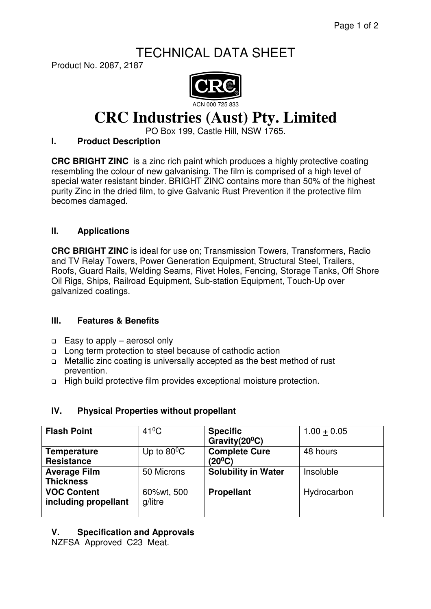# TECHNICAL DATA SHEET

Product No. 2087, 2187



# **CRC Industries (Aust) Pty. Limited**

PO Box 199, Castle Hill, NSW 1765.

### **I. Product Description**

**CRC BRIGHT ZINC** is a zinc rich paint which produces a highly protective coating resembling the colour of new galvanising. The film is comprised of a high level of special water resistant binder. BRIGHT ZINC contains more than 50% of the highest purity Zinc in the dried film, to give Galvanic Rust Prevention if the protective film becomes damaged.

## **II. Applications**

**CRC BRIGHT ZINC** is ideal for use on; Transmission Towers, Transformers, Radio and TV Relay Towers, Power Generation Equipment, Structural Steel, Trailers, Roofs, Guard Rails, Welding Seams, Rivet Holes, Fencing, Storage Tanks, Off Shore Oil Rigs, Ships, Railroad Equipment, Sub-station Equipment, Touch-Up over galvanized coatings.

#### **III. Features & Benefits**

- □ Easy to apply aerosol only
- □ Long term protection to steel because of cathodic action
- □ Metallic zinc coating is universally accepted as the best method of rust prevention.
- High build protective film provides exceptional moisture protection.

# **IV. Physical Properties without propellant**

| <b>Flash Point</b>                         | $41^{\circ}$ C        | <b>Specific</b><br>Gravity $(20^0C)$        | $1.00 + 0.05$ |
|--------------------------------------------|-----------------------|---------------------------------------------|---------------|
| <b>Temperature</b><br><b>Resistance</b>    | Up to $80^{\circ}$ C  | <b>Complete Cure</b><br>(20 <sup>0</sup> C) | 48 hours      |
| <b>Average Film</b><br><b>Thickness</b>    | 50 Microns            | <b>Solubility in Water</b>                  | Insoluble     |
| <b>VOC Content</b><br>including propellant | 60%wt, 500<br>g/litre | <b>Propellant</b>                           | Hydrocarbon   |

# **V. Specification and Approvals**

NZFSA Approved C23 Meat.